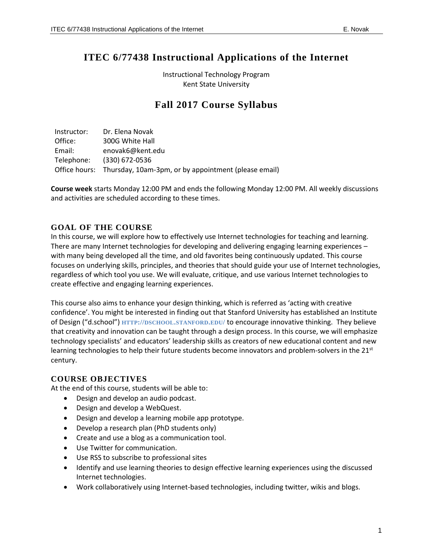# **ITEC 6/77438 Instructional Applications of the Internet**

Instructional Technology Program Kent State University

## **Fall 2017 Course Syllabus**

Instructor: Dr. Elena Novak Office: 300G White Hall Email: [enovak6@kent.edu](mailto:enovak6@kent.edu) Telephone: (330) 672-0536 Office hours: Thursday, 10am-3pm, or by appointment (please email)

**Course week** starts Monday 12:00 PM and ends the following Monday 12:00 PM. All weekly discussions and activities are scheduled according to these times.

## **GOAL OF THE COURSE**

In this course, we will explore how to effectively use Internet technologies for teaching and learning. There are many Internet technologies for developing and delivering engaging learning experiences – with many being developed all the time, and old favorites being continuously updated. This course focuses on underlying skills, principles, and theories that should guide your use of Internet technologies, regardless of which tool you use. We will evaluate, critique, and use various Internet technologies to create effective and engaging learning experiences.

This course also aims to enhance your design thinking, which is referred as 'acting with creative confidence'. You might be interested in finding out that Stanford University has established an Institute of Design ("d.school") **HTTP://DSCHOOL.[STANFORD](http://dschool.stanford.edu/).EDU/** to encourage innovative thinking. They believe that creativity and innovation can be taught through a design process. In this course, we will emphasize technology specialists' and educators' leadership skills as creators of new educational content and new learning technologies to help their future students become innovators and problem-solvers in the  $21<sup>st</sup>$ century.

## **COURSE OBJECTIVES**

At the end of this course, students will be able to:

- Design and develop an audio podcast.
- Design and develop a WebQuest.
- Design and develop a learning mobile app prototype.
- Develop a research plan (PhD students only)
- Create and use a blog as a communication tool.
- Use Twitter for communication.
- Use RSS to subscribe to professional sites
- Identify and use learning theories to design effective learning experiences using the discussed Internet technologies.
- Work collaboratively using Internet-based technologies, including twitter, wikis and blogs.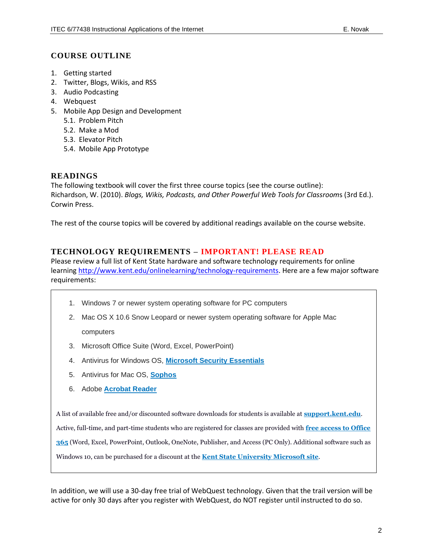## **COURSE OUTLINE**

- 1. Getting started
- 2. Twitter, Blogs, Wikis, and RSS
- 3. Audio Podcasting
- 4. Webquest
- 5. Mobile App Design and Development
	- 5.1. Problem Pitch
	- 5.2. Make a Mod
	- 5.3. Elevator Pitch
	- 5.4. Mobile App Prototype

#### **READINGS**

The following textbook will cover the first three course topics (see the course outline): Richardson, W. (2010). *Blogs, Wikis, Podcasts, and Other Powerful Web Tools for Classroom*s (3rd Ed.). Corwin Press.

The rest of the course topics will be covered by additional readings available on the course website.

## **TECHNOLOGY REQUIREMENTS – IMPORTANT! PLEASE READ**

Please review a full list of Kent State hardware and software technology requirements for online learning [http://www.kent.edu/onlinelearning/technology-requirements.](http://www.kent.edu/onlinelearning/technology-requirements) Here are a few major software requirements:

- 1. Windows 7 or newer system operating software for PC computers
- 2. Mac OS X 10.6 Snow Leopard or newer system operating software for Apple Mac computers
- 3. Microsoft Office Suite (Word, Excel, PowerPoint)
- 4. Antivirus for Windows OS, **[Microsoft Security Essentials](http://windows.microsoft.com/en-us/windows/security-essentials-download)**
- 5. Antivirus for Mac OS, **[Sophos](https://www.sophos.com/en-us/products/free-tools/sophos-antivirus-for-mac-home-edition.aspx)**
- 6. Adobe **[Acrobat Reader](https://get.adobe.com/reader/)**

A list of available free and/or discounted software downloads for students is available at **[support.kent.edu](https://support.kent.edu/sims/helpcenter/common/layout/SelfhelpArticleView.seam?inst_name=kent_student&article_id=8210-8096-9702&actionMethod=helpcenter%2Fcommon%2Flayout%2FSelfHelpHome.xhtml%3AivyTechSHPKbManager.searchKBRelatedArticleList&displaytag=tag#FreeDiscounted)**.

Active, full-time, and part-time students who are registered for classes are provided with **[free access to Office](https://support.kent.edu/sims/helpcenter/common/layout/SelfhelpArticleView.seam?inst_name=kent_student&article_id=8210-8096-10904&actionMethod=helpcenter%2Fcommon%2Flayout%2FSelfHelpSearchArticleResult.xhtml%3AivyTechSHPKbManager.searchKBRelatedArticleList&cid=66323)  [365](https://support.kent.edu/sims/helpcenter/common/layout/SelfhelpArticleView.seam?inst_name=kent_student&article_id=8210-8096-10904&actionMethod=helpcenter%2Fcommon%2Flayout%2FSelfHelpSearchArticleResult.xhtml%3AivyTechSHPKbManager.searchKBRelatedArticleList&cid=66323)** (Word, Excel, PowerPoint, Outlook, OneNote, Publisher, and Access (PC Only). Additional software such as

Windows 10, can be purchased for a discount at the **[Kent State University Microsoft site](https://kent.onthehub.com/WebStore/ProductsByMajorVersionList.aspx?vsro=8)**.

In addition, we will use a 30-day free trial of WebQuest technology. Given that the trail version will be active for only 30 days after you register with WebQuest, do NOT register until instructed to do so.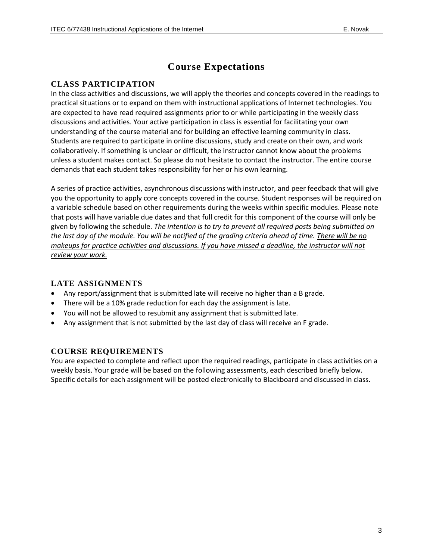## **Course Expectations**

#### **CLASS PARTICIPATION**

In the class activities and discussions, we will apply the theories and concepts covered in the readings to practical situations or to expand on them with instructional applications of Internet technologies. You are expected to have read required assignments prior to or while participating in the weekly class discussions and activities. Your active participation in class is essential for facilitating your own understanding of the course material and for building an effective learning community in class. Students are required to participate in online discussions, study and create on their own, and work collaboratively. If something is unclear or difficult, the instructor cannot know about the problems unless a student makes contact. So please do not hesitate to contact the instructor. The entire course demands that each student takes responsibility for her or his own learning.

A series of practice activities, asynchronous discussions with instructor, and peer feedback that will give you the opportunity to apply core concepts covered in the course. Student responses will be required on a variable schedule based on other requirements during the weeks within specific modules. Please note that posts will have variable due dates and that full credit for this component of the course will only be given by following the schedule. *The intention is to try to prevent all required posts being submitted on the last day of the module. You will be notified of the grading criteria ahead of time. There will be no makeups for practice activities and discussions. If you have missed a deadline, the instructor will not review your work.*

## **LATE ASSIGNMENTS**

- Any report/assignment that is submitted late will receive no higher than a B grade.
- There will be a 10% grade reduction for each day the assignment is late.
- You will not be allowed to resubmit any assignment that is submitted late.
- Any assignment that is not submitted by the last day of class will receive an F grade.

#### **COURSE REQUIREMENTS**

You are expected to complete and reflect upon the required readings, participate in class activities on a weekly basis. Your grade will be based on the following assessments, each described briefly below. Specific details for each assignment will be posted electronically to Blackboard and discussed in class.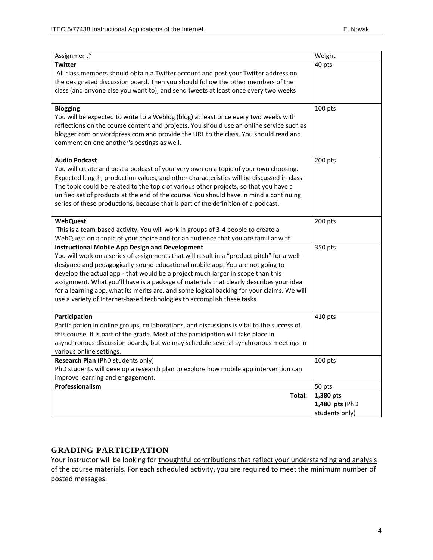| Assignment*                                                                                                                                                                                                                                                                                                                                                                                                                                                                                                                                                                                  | Weight         |
|----------------------------------------------------------------------------------------------------------------------------------------------------------------------------------------------------------------------------------------------------------------------------------------------------------------------------------------------------------------------------------------------------------------------------------------------------------------------------------------------------------------------------------------------------------------------------------------------|----------------|
| <b>Twitter</b><br>All class members should obtain a Twitter account and post your Twitter address on<br>the designated discussion board. Then you should follow the other members of the<br>class (and anyone else you want to), and send tweets at least once every two weeks                                                                                                                                                                                                                                                                                                               | 40 pts         |
| <b>Blogging</b><br>You will be expected to write to a Weblog (blog) at least once every two weeks with<br>reflections on the course content and projects. You should use an online service such as<br>blogger.com or wordpress.com and provide the URL to the class. You should read and<br>comment on one another's postings as well.                                                                                                                                                                                                                                                       | 100 pts        |
| <b>Audio Podcast</b><br>You will create and post a podcast of your very own on a topic of your own choosing.<br>Expected length, production values, and other characteristics will be discussed in class.<br>The topic could be related to the topic of various other projects, so that you have a<br>unified set of products at the end of the course. You should have in mind a continuing<br>series of these productions, because that is part of the definition of a podcast.                                                                                                            | 200 pts        |
| <b>WebQuest</b><br>This is a team-based activity. You will work in groups of 3-4 people to create a<br>WebQuest on a topic of your choice and for an audience that you are familiar with.                                                                                                                                                                                                                                                                                                                                                                                                    | 200 pts        |
| <b>Instructional Mobile App Design and Development</b><br>You will work on a series of assignments that will result in a "product pitch" for a well-<br>designed and pedagogically-sound educational mobile app. You are not going to<br>develop the actual app - that would be a project much larger in scope than this<br>assignment. What you'll have is a package of materials that clearly describes your idea<br>for a learning app, what its merits are, and some logical backing for your claims. We will<br>use a variety of Internet-based technologies to accomplish these tasks. | 350 pts        |
| Participation<br>Participation in online groups, collaborations, and discussions is vital to the success of<br>this course. It is part of the grade. Most of the participation will take place in<br>asynchronous discussion boards, but we may schedule several synchronous meetings in<br>various online settings.                                                                                                                                                                                                                                                                         | 410 pts        |
| Research Plan (PhD students only)<br>PhD students will develop a research plan to explore how mobile app intervention can<br>improve learning and engagement.                                                                                                                                                                                                                                                                                                                                                                                                                                | 100 pts        |
| Professionalism                                                                                                                                                                                                                                                                                                                                                                                                                                                                                                                                                                              | 50 pts         |
| Total:                                                                                                                                                                                                                                                                                                                                                                                                                                                                                                                                                                                       | 1,380 pts      |
|                                                                                                                                                                                                                                                                                                                                                                                                                                                                                                                                                                                              | 1,480 pts (PhD |
|                                                                                                                                                                                                                                                                                                                                                                                                                                                                                                                                                                                              | students only) |

## **GRADING PARTICIPATION**

Your instructor will be looking for thoughtful contributions that reflect your understanding and analysis of the course materials. For each scheduled activity, you are required to meet the minimum number of posted messages.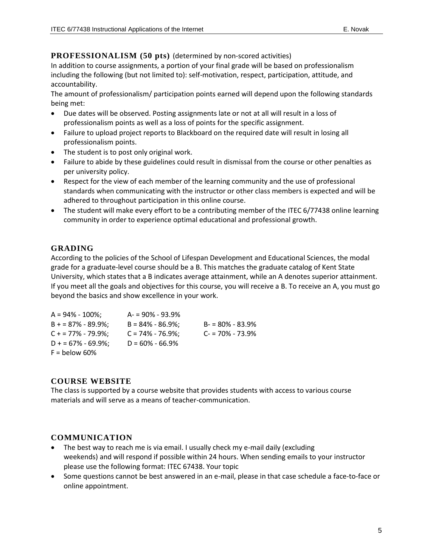#### **PROFESSIONALISM (50 pts)** (determined by non-scored activities)

In addition to course assignments, a portion of your final grade will be based on professionalism including the following (but not limited to): self-motivation, respect, participation, attitude, and accountability.

The amount of professionalism/ participation points earned will depend upon the following standards being met:

- Due dates will be observed. Posting assignments late or not at all will result in a loss of professionalism points as well as a loss of points for the specific assignment.
- Failure to upload project reports to Blackboard on the required date will result in losing all professionalism points.
- The student is to post only original work.
- Failure to abide by these guidelines could result in dismissal from the course or other penalties as per university policy.
- Respect for the view of each member of the learning community and the use of professional standards when communicating with the instructor or other class members is expected and will be adhered to throughout participation in this online course.
- The student will make every effort to be a contributing member of the ITEC 6/77438 online learning community in order to experience optimal educational and professional growth.

## **GRADING**

According to the policies of the School of Lifespan Development and Educational Sciences, the modal grade for a graduate-level course should be a B. This matches the graduate catalog of Kent State University, which states that a B indicates average attainment, while an A denotes superior attainment. If you meet all the goals and objectives for this course, you will receive a B. To receive an A, you must go beyond the basics and show excellence in your work.

| $A = 94\% - 100\%$ ; | $A = 90\% - 93.9\%$  |                     |
|----------------------|----------------------|---------------------|
| $B = 87\% - 89.9\%$  | $B = 84\% - 86.9\%$  | $B - 80\% - 83.9\%$ |
| $C + 77\% - 79.9\%$  | $C = 74\% - 76.9\%;$ | $C = 70\% - 73.9\%$ |
| $D + 57\% - 69.9\%$  | $D = 60\% - 66.9\%$  |                     |
| $F =$ below 60%      |                      |                     |

## **COURSE WEBSITE**

The class is supported by a course website that provides students with access to various course materials and will serve as a means of teacher-communication.

## **COMMUNICATION**

- The best way to reach me is via email. I usually check my e-mail daily (excluding weekends) and will respond if possible within 24 hours. When sending emails to your instructor please use the following format: ITEC 67438. Your topic
- Some questions cannot be best answered in an e-mail, please in that case schedule a face-to-face or online appointment.